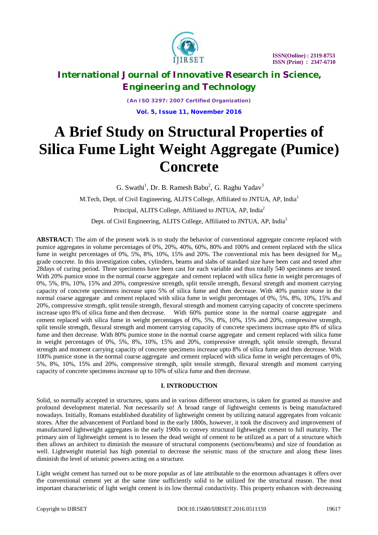

*(An ISO 3297: 2007 Certified Organization)* **Vol. 5, Issue 11, November 2016**

# **A Brief Study on Structural Properties of Silica Fume Light Weight Aggregate (Pumice) Concrete**

G. Swathi<sup>1</sup>, Dr. B. Ramesh Babu<sup>2</sup>, G. Raghu Yadav<sup>3</sup>

M.Tech, Dept. of Civil Engineering, ALITS College, Affiliated to JNTUA, AP, India<sup>1</sup>

Principal, ALITS College, Affiliated to JNTUA, AP, India<sup>2</sup>

Dept. of Civil Engineering, ALITS College, Affiliated to JNTUA, AP, India<sup>3</sup>

**ABSTRACT:** The aim of the present work is to study the behavior of conventional aggregate concrete replaced with pumice aggregates in volume percentages of 0%, 20%, 40%, 60%, 80% and 100% and cement replaced with the silica fume in weight percentages of 0%, 5%, 8%, 10%, 15% and 20%. The conventional mix has been designed for  $M_{20}$ grade concrete. In this investigation cubes, cylinders, beams and slabs of standard size have been cast and tested after 28days of curing period. Three specimens have been cast for each variable and thus totally 540 specimens are tested. With 20% pumice stone in the normal coarse aggregate and cement replaced with silica fume in weight percentages of 0%, 5%, 8%, 10%, 15% and 20%, compressive strength, split tensile strength, flexural strength and moment carrying capacity of concrete specimens increase upto 5% of silica fume and then decrease. With 40% pumice stone in the normal coarse aggregate and cement replaced with silica fume in weight percentages of 0%, 5%, 8%, 10%, 15% and 20%, compressive strength, split tensile strength, flexural strength and moment carrying capacity of concrete specimens increase upto 8% of silica fume and then decrease. With 60% pumice stone in the normal coarse aggregate and cement replaced with silica fume in weight percentages of 0%, 5%, 8%, 10%, 15% and 20%, compressive strength, split tensile strength, flexural strength and moment carrying capacity of concrete specimens increase upto 8% of silica fume and then decrease. With 80% pumice stone in the normal coarse aggregate and cement replaced with silica fume in weight percentages of 0%, 5%, 8%, 10%, 15% and 20%, compressive strength, split tensile strength, flexural strength and moment carrying capacity of concrete specimens increase upto 8% of silica fume and then decrease. With 100% pumice stone in the normal coarse aggregate and cement replaced with silica fume in weight percentages of 0%, 5%, 8%, 10%, 15% and 20%, compressive strength, split tensile strength, flexural strength and moment carrying capacity of concrete specimens increase up to 10% of silica fume and then decrease.

### **I. INTRODUCTION**

Solid, so normally accepted in structures, spans and in various different structures, is taken for granted as massive and profound development material. Not necessarily so! A broad range of lightweight cements is being manufactured nowadays. Initially, Romans established durability of lightweight cement by utilizing natural aggregates from volcanic stores. After the advancement of Portland bond in the early 1800s, however, it took the discovery and improvement of manufactured lightweight aggregates in the early 1900s to convey structural lightweight cement to full maturity. The primary aim of lightweight cement is to lessen the dead weight of cement to be utilized as a part of a structure which then allows an architect to diminish the measure of structural components (sections/beams) and size of foundation as well. Lightweight material has high potential to decrease the seismic mass of the structure and along these lines diminish the level of seismic powers acting on a structure.

Light weight cement has turned out to be more popular as of late attributable to the enormous advantages it offers over the conventional cement yet at the same time sufficiently solid to be utilized for the structural reason. The most important characteristic of light weight cement is its low thermal conductivity. This property enhances with decreasing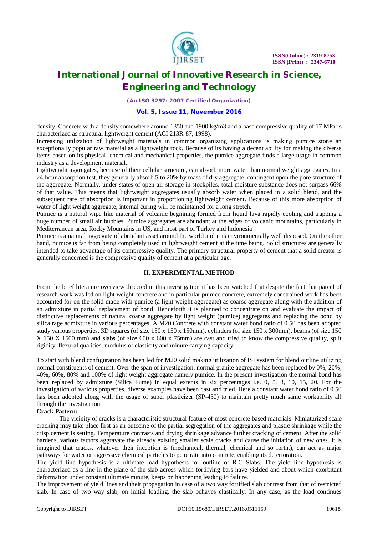

*(An ISO 3297: 2007 Certified Organization)*

#### **Vol. 5, Issue 11, November 2016**

density. Concrete with a density somewhere around 1350 and 1900 kg/m3 and a base compressive quality of 17 MPa is characterized as structural lightweight cement (ACI 213R-87, 1998).

Increasing utilization of lightweight materials in common organizing applications is making pumice stone an exceptionally popular raw material as a lightweight rock. Because of its having a decent ability for making the diverse items based on its physical, chemical and mechanical properties, the pumice aggregate finds a large usage in common industry as a development material.

Lightweight aggregates, because of their cellular structure, can absorb more water than normal weight aggregates. In a 24-hour absorption test, they generally absorb 5 to 20% by mass of dry aggregate, contingent upon the pore structure of the aggregate. Normally, under states of open air storage in stockpiles, total moisture substance does not surpass 66% of that value. This means that lightweight aggregates usually absorb water when placed in a solid blend, and the subsequent rate of absorption is important in proportioning lightweight cement. Because of this more absorption of water of light weight aggregate, internal curing will be maintained for a long stretch.

Pumice is a natural wipe like material of volcanic beginning formed from liquid lava rapidly cooling and trapping a huge number of small air bubbles. Pumice aggregates are abundant at the edges of volcanic mountains, particularly in Mediterranean area, Rocky Mountains in US, and most part of Turkey and Indonesia

Pumice is a natural aggregate of abundant asset around the world and it is environmentally well disposed. On the other hand, pumice is far from being completely used in lightweight cement at the time being. Solid structures are generally intended to take advantage of its compressive quality. The primary structural property of cement that a solid creator is generally concerned is the compressive quality of cement at a particular age.

### **II. EXPERIMENTAL METHOD**

From the brief literature overview directed in this investigation it has been watched that despite the fact that parcel of research work was led on light weight concrete and in particular pumice concrete, extremely constrained work has been accounted for on the solid made with pumice (a light weight aggregate) as coarse aggregate along with the addition of an admixture in partial replacement of bond. Henceforth it is planned to concentrate on and evaluate the impact of distinctive replacements of natural coarse aggregate by light weight (pumice) aggregates and replacing the bond by silica rage admixture in various percentages. A M20 Concrete with constant water bond ratio of 0.50 has been adopted study various properties. 3D squares (of size 150 x 150 x 150 mm), cylinders (of size 150 x 300mm), beams (of size 150 X 150 X 1500 mm) and slabs (of size 600 x 600 x 75mm) are cast and tried to know the compressive quality, split rigidity, flexural qualities, modulus of elasticity and minute carrying capacity.

To start with blend configuration has been led for M20 solid making utilization of ISI system for blend outline utilizing normal constituents of cement. Over the span of investigation, normal granite aggregate has been replaced by 0%, 20%, 40%, 60%, 80% and 100% of light weight aggregate namely pumice. In the present investigation the normal bond has been replaced by admixture (Silica Fume) in equal extents in six percentages i.e. 0, 5, 8, 10, 15, 20. For the investigation of various properties, diverse examples have been cast and tried. Here a constant water bond ratio of 0.50 has been adopted along with the usage of super plasticizer (SP-430) to maintain pretty much same workability all through the investigation.

### **Crack Pattern:**

The vicinity of cracks is a characteristic structural feature of most concrete based materials. Miniaturized scale cracking may take place first as an outcome of the partial segregation of the aggregates and plastic shrinkage while the crisp cement is setting. Temperature contrasts and drying shrinkage advance further cracking of cement. After the solid hardens, various factors aggravate the already existing smaller scale cracks and cause the initiation of new ones. It is imagined that cracks, whatever their inception is (mechanical, thermal, chemical and so forth.), can act as major pathways for water or aggressive chemical particles to penetrate into concrete, enabling its deterioration.

The yield line hypothesis is a ultimate load hypothesis for outline of R.C Slabs. The yield line hypothesis is characterized as a line in the plane of the slab across which fortifying bars have yielded and about which exorbitant deformation under constant ultimate minute, keeps on happening leading to failure.

The improvement of yield lines and their propagation in case of a two way fortified slab contrast from that of restricted slab. In case of two way slab, on initial loading, the slab behaves elastically. In any case, as the load continues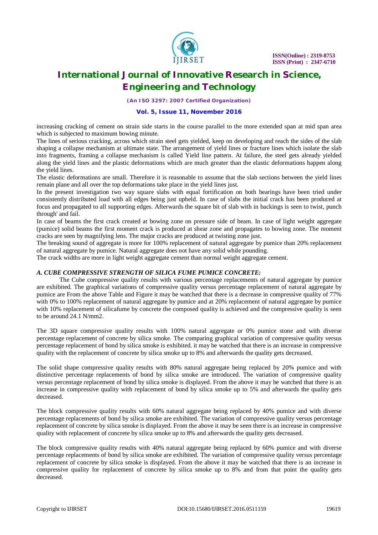

*(An ISO 3297: 2007 Certified Organization)*

#### **Vol. 5, Issue 11, November 2016**

increasing cracking of cement on strain side starts in the course parallel to the more extended span at mid span area which is subjected to maximum bowing minute.

The lines of serious cracking, across which strain steel gets yielded, keep on developing and reach the sides of the slab shaping a collapse mechanism at ultimate state. The arrangement of yield lines or fracture lines which isolate the slab into fragments, framing a collapse mechanism is called Yield line pattern. At failure, the steel gets already yielded along the yield lines and the plastic deformations which are much greater than the elastic deformations happen along the yield lines.

The elastic deformations are small. Therefore it is reasonable to assume that the slab sections between the yield lines remain plane and all over the top deformations take place in the yield lines just.

In the present investigation two way square slabs with equal fortification on both bearings have been tried under consistently distributed load with all edges being just upheld. In case of slabs the initial crack has been produced at focus and propagated to all supporting edges. Afterwards the square bit of slab with in backings is seen to twist, punch through' and fail.

In case of beams the first crack created at bowing zone on pressure side of beam. In case of light weight aggregate (pumice) solid beams the first moment crack is produced at shear zone and propagates to bowing zone. The moment cracks are seen by magnifying lens. The major cracks are produced at twisting zone just.

The breaking sound of aggregate is more for 100% replacement of natural aggregate by pumice than 20% replacement of natural aggregate by pumice. Natural aggregate does not have any solid while pounding.

The crack widths are more in light weight aggregate cement than normal weight aggregate cement.

### *A. CUBE COMPRESSIVE STRENGTH OF SILICA FUME PUMICE CONCRETE:*

The Cube compressive quality results with various percentage replacements of natural aggregate by pumice are exhibited. The graphical variations of compressive quality versus percentage replacement of natural aggregate by pumice are From the above Table and Figure it may be watched that there is a decrease in compressive quality of 77% with 0% to 100% replacement of natural aggregate by pumice and at 20% replacement of natural aggregate by pumice with 10% replacement of silicafume by concrete the composed quality is achieved and the compressive quality is seen to be around 24.1 N/mm2.

The 3D square compressive quality results with 100% natural aggregate or 0% pumice stone and with diverse percentage replacement of concrete by silica smoke. The comparing graphical variation of compressive quality versus percentage replacement of bond by silica smoke is exhibited. it may be watched that there is an increase in compressive quality with the replacement of concrete by silica smoke up to 8% and afterwards the quality gets decreased.

The solid shape compressive quality results with 80% natural aggregate being replaced by 20% pumice and with distinctive percentage replacements of bond by silica smoke are introduced. The variation of compressive quality versus percentage replacement of bond by silica smoke is displayed. From the above it may be watched that there is an increase in compressive quality with replacement of bond by silica smoke up to 5% and afterwards the quality gets decreased.

The block compressive quality results with 60% natural aggregate being replaced by 40% pumice and with diverse percentage replacements of bond by silica smoke are exhibited. The variation of compressive quality versus percentage replacement of concrete by silica smoke is displayed. From the above it may be seen there is an increase in compressive quality with replacement of concrete by silica smoke up to 8% and afterwards the quality gets decreased.

The block compressive quality results with 40% natural aggregate being replaced by 60% pumice and with diverse percentage replacements of bond by silica smoke are exhibited. The variation of compressive quality versus percentage replacement of concrete by silica smoke is displayed. From the above it may be watched that there is an increase in compressive quality for replacement of concrete by silica smoke up to 8% and from that point the quality gets decreased.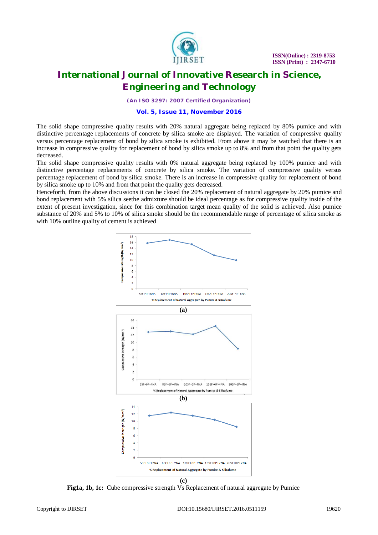

*(An ISO 3297: 2007 Certified Organization)*

#### **Vol. 5, Issue 11, November 2016**

The solid shape compressive quality results with 20% natural aggregate being replaced by 80% pumice and with distinctive percentage replacements of concrete by silica smoke are displayed. The variation of compressive quality versus percentage replacement of bond by silica smoke is exhibited. From above it may be watched that there is an increase in compressive quality for replacement of bond by silica smoke up to 8% and from that point the quality gets decreased.

The solid shape compressive quality results with 0% natural aggregate being replaced by 100% pumice and with distinctive percentage replacements of concrete by silica smoke. The variation of compressive quality versus percentage replacement of bond by silica smoke. There is an increase in compressive quality for replacement of bond by silica smoke up to 10% and from that point the quality gets decreased.

Henceforth, from the above discussions it can be closed the 20% replacement of natural aggregate by 20% pumice and bond replacement with 5% silica seethe admixture should be ideal percentage as for compressive quality inside of the extent of present investigation, since for this combination target mean quality of the solid is achieved. Also pumice substance of 20% and 5% to 10% of silica smoke should be the recommendable range of percentage of silica smoke as with 10% outline quality of cement is achieved



**Fig1a, 1b, 1c:** Cube compressive strength Vs Replacement of natural aggregate by Pumice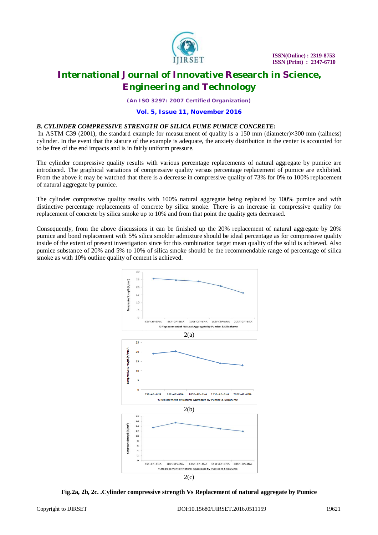

*(An ISO 3297: 2007 Certified Organization)*

#### **Vol. 5, Issue 11, November 2016**

### *B. CYLINDER COMPRESSIVE STRENGTH OF SILICA FUME PUMICE CONCRETE:*

In ASTM C39 (2001), the standard example for measurement of quality is a 150 mm (diameter) $\times$ 300 mm (tallness) cylinder. In the event that the stature of the example is adequate, the anxiety distribution in the center is accounted for to be free of the end impacts and is in fairly uniform pressure.

The cylinder compressive quality results with various percentage replacements of natural aggregate by pumice are introduced. The graphical variations of compressive quality versus percentage replacement of pumice are exhibited. From the above it may be watched that there is a decrease in compressive quality of 73% for 0% to 100% replacement of natural aggregate by pumice.

The cylinder compressive quality results with 100% natural aggregate being replaced by 100% pumice and with distinctive percentage replacements of concrete by silica smoke. There is an increase in compressive quality for replacement of concrete by silica smoke up to 10% and from that point the quality gets decreased.

Consequently, from the above discussions it can be finished up the 20% replacement of natural aggregate by 20% pumice and bond replacement with 5% silica smolder admixture should be ideal percentage as for compressive quality inside of the extent of present investigation since for this combination target mean quality of the solid is achieved. Also pumice substance of 20% and 5% to 10% of silica smoke should be the recommendable range of percentage of silica smoke as with 10% outline quality of cement is achieved.



**Fig.2a, 2b, 2c. .Cylinder compressive strength Vs Replacement of natural aggregate by Pumice**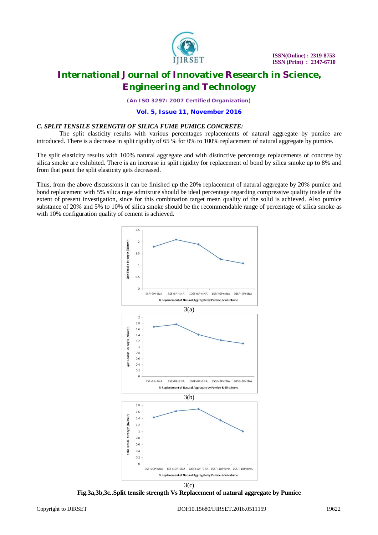

*(An ISO 3297: 2007 Certified Organization)*

#### **Vol. 5, Issue 11, November 2016**

#### *C. SPLIT TENSILE STRENGTH OF SILICA FUME PUMICE CONCRETE:*

The split elasticity results with various percentages replacements of natural aggregate by pumice are introduced. There is a decrease in split rigidity of 65 % for 0% to 100% replacement of natural aggregate by pumice.

The split elasticity results with 100% natural aggregate and with distinctive percentage replacements of concrete by silica smoke are exhibited. There is an increase in split rigidity for replacement of bond by silica smoke up to 8% and from that point the split elasticity gets decreased.

Thus, from the above discussions it can be finished up the 20% replacement of natural aggregate by 20% pumice and bond replacement with 5% silica rage admixture should be ideal percentage regarding compressive quality inside of the extent of present investigation, since for this combination target mean quality of the solid is achieved. Also pumice substance of 20% and 5% to 10% of silica smoke should be the recommendable range of percentage of silica smoke as with 10% configuration quality of cement is achieved.



**Fig.3a,3b,3c..Split tensile strength Vs Replacement of natural aggregate by Pumice**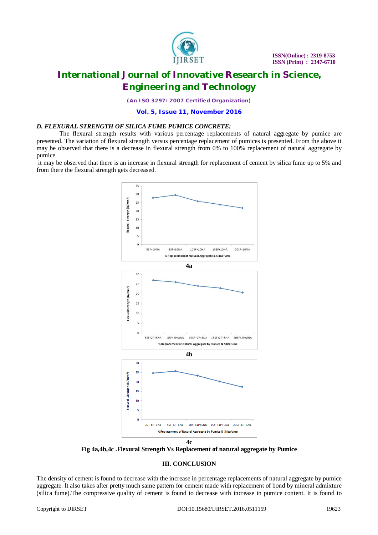

*(An ISO 3297: 2007 Certified Organization)*

**Vol. 5, Issue 11, November 2016**

#### *D. FLEXURAL STRENGTH OF SILICA FUME PUMICE CONCRETE:*

The flexural strength results with various percentage replacements of natural aggregate by pumice are presented. The variation of flexural strength versus percentage replacement of pumices is presented. From the above it may be observed that there is a decrease in flexural strength from 0% to 100% replacement of natural aggregate by pumice.

it may be observed that there is an increase in flexural strength for replacement of cement by silica fume up to 5% and from there the flexural strength gets decreased.



**Fig 4a,4b,4c .Flexural Strength Vs Replacement of natural aggregate by Pumice**

### **III. CONCLUSION**

The density of cement is found to decrease with the increase in percentage replacements of natural aggregate by pumice aggregate. It also takes after pretty much same pattern for cement made with replacement of bond by mineral admixture (silica fume).The compressive quality of cement is found to decrease with increase in pumice content. It is found to